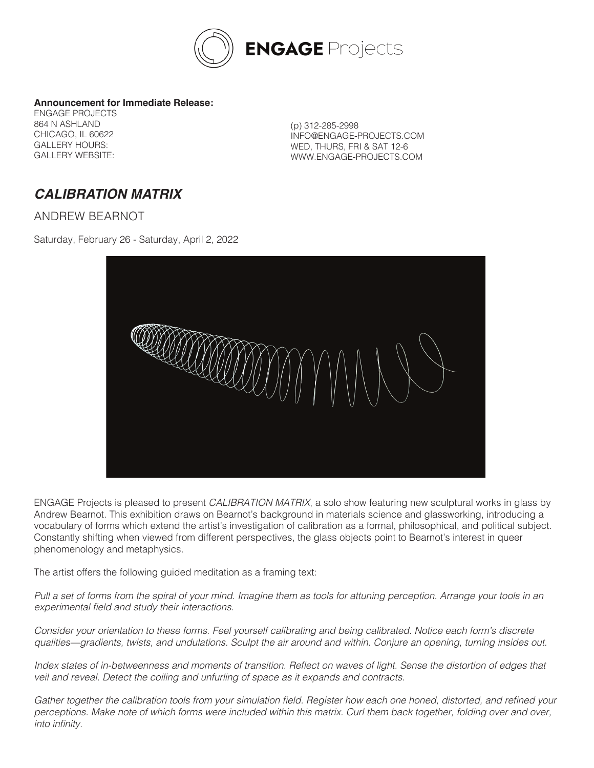

## **Announcement for Immediate Release:**

ENGAGE PROJECTS 864 N ASHLAND CHICAGO, IL 60622 GALLERY HOURS: GALLERY WEBSITE:

(p) 312-285-2998 INFO@ENGAGE-PROJECTS.COM WED, THURS, FRI & SAT 12-6 WWW.ENGAGE-PROJECTS.COM

## **CALIBRATION MATRIX**

ANDREW BEARNOT

Saturday, February 26 - Saturday, April 2, 2022



ENGAGE Projects is pleased to present *CALIBRATION MATRIX*, a solo show featuring new sculptural works in glass by Andrew Bearnot. This exhibition draws on Bearnot's background in materials science and glassworking, introducing a vocabulary of forms which extend the artist's investigation of calibration as a formal, philosophical, and political subject. Constantly shifting when viewed from different perspectives, the glass objects point to Bearnot's interest in queer phenomenology and metaphysics.

The artist offers the following guided meditation as a framing text:

*Pull a set of forms from the spiral of your mind. Imagine them as tools for attuning perception. Arrange your tools in an*  experimental field and study their interactions.

*Consider your orientation to these forms. Feel yourself calibrating and being calibrated. Notice each form's discrete qualities—gradients, twists, and undulations. Sculpt the air around and within. Conjure an opening, turning insides out.*

Index states of in-betweenness and moments of transition. Reflect on waves of light. Sense the distortion of edges that veil and reveal. Detect the coiling and unfurling of space as it expands and contracts.

Gather together the calibration tools from your simulation field. Register how each one honed, distorted, and refined your perceptions. Make note of which forms were included within this matrix. Curl them back together, folding over and over, into infinity.